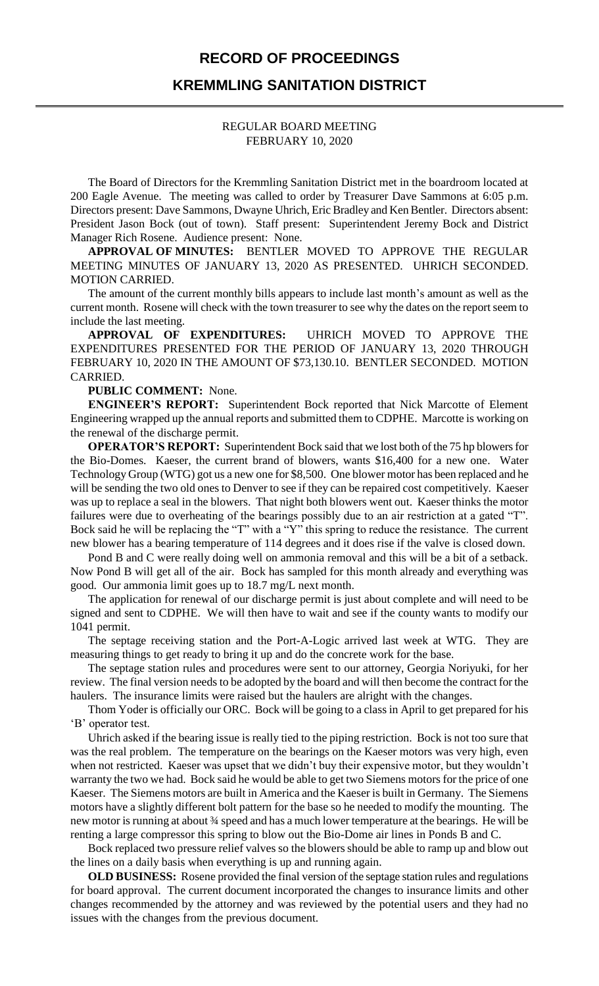### **RECORD OF PROCEEDINGS**

## **KREMMLING SANITATION DISTRICT**

### REGULAR BOARD MEETING FEBRUARY 10, 2020

The Board of Directors for the Kremmling Sanitation District met in the boardroom located at 200 Eagle Avenue. The meeting was called to order by Treasurer Dave Sammons at 6:05 p.m. Directors present: Dave Sammons, Dwayne Uhrich, Eric Bradley and Ken Bentler. Directors absent: President Jason Bock (out of town). Staff present: Superintendent Jeremy Bock and District Manager Rich Rosene. Audience present: None.

**APPROVAL OF MINUTES:** BENTLER MOVED TO APPROVE THE REGULAR MEETING MINUTES OF JANUARY 13, 2020 AS PRESENTED. UHRICH SECONDED. MOTION CARRIED.

The amount of the current monthly bills appears to include last month's amount as well as the current month. Rosene will check with the town treasurer to see why the dates on the report seem to include the last meeting.

**APPROVAL OF EXPENDITURES:** UHRICH MOVED TO APPROVE THE EXPENDITURES PRESENTED FOR THE PERIOD OF JANUARY 13, 2020 THROUGH FEBRUARY 10, 2020 IN THE AMOUNT OF \$73,130.10. BENTLER SECONDED. MOTION CARRIED.

#### **PUBLIC COMMENT:** None.

**ENGINEER'S REPORT:** Superintendent Bock reported that Nick Marcotte of Element Engineering wrapped up the annual reports and submitted them to CDPHE. Marcotte is working on the renewal of the discharge permit.

**OPERATOR'S REPORT:** Superintendent Bock said that we lost both of the 75 hp blowers for the Bio-Domes. Kaeser, the current brand of blowers, wants \$16,400 for a new one. Water Technology Group (WTG) got us a new one for \$8,500. One blower motor has been replaced and he will be sending the two old ones to Denver to see if they can be repaired cost competitively. Kaeser was up to replace a seal in the blowers. That night both blowers went out. Kaeser thinks the motor failures were due to overheating of the bearings possibly due to an air restriction at a gated "T". Bock said he will be replacing the "T" with a "Y" this spring to reduce the resistance. The current new blower has a bearing temperature of 114 degrees and it does rise if the valve is closed down.

Pond B and C were really doing well on ammonia removal and this will be a bit of a setback. Now Pond B will get all of the air. Bock has sampled for this month already and everything was good. Our ammonia limit goes up to 18.7 mg/L next month.

The application for renewal of our discharge permit is just about complete and will need to be signed and sent to CDPHE. We will then have to wait and see if the county wants to modify our 1041 permit.

The septage receiving station and the Port-A-Logic arrived last week at WTG. They are measuring things to get ready to bring it up and do the concrete work for the base.

The septage station rules and procedures were sent to our attorney, Georgia Noriyuki, for her review. The final version needs to be adopted by the board and will then become the contract for the haulers. The insurance limits were raised but the haulers are alright with the changes.

Thom Yoder is officially our ORC. Bock will be going to a class in April to get prepared for his 'B' operator test.

Uhrich asked if the bearing issue is really tied to the piping restriction. Bock is not too sure that was the real problem. The temperature on the bearings on the Kaeser motors was very high, even when not restricted. Kaeser was upset that we didn't buy their expensive motor, but they wouldn't warranty the two we had. Bock said he would be able to get two Siemens motors for the price of one Kaeser. The Siemens motors are built in America and the Kaeser is built in Germany. The Siemens motors have a slightly different bolt pattern for the base so he needed to modify the mounting. The new motor is running at about 34 speed and has a much lower temperature at the bearings. He will be renting a large compressor this spring to blow out the Bio-Dome air lines in Ponds B and C.

Bock replaced two pressure relief valves so the blowers should be able to ramp up and blow out the lines on a daily basis when everything is up and running again.

**OLD BUSINESS:** Rosene provided the final version of the septage station rules and regulations for board approval. The current document incorporated the changes to insurance limits and other changes recommended by the attorney and was reviewed by the potential users and they had no issues with the changes from the previous document.